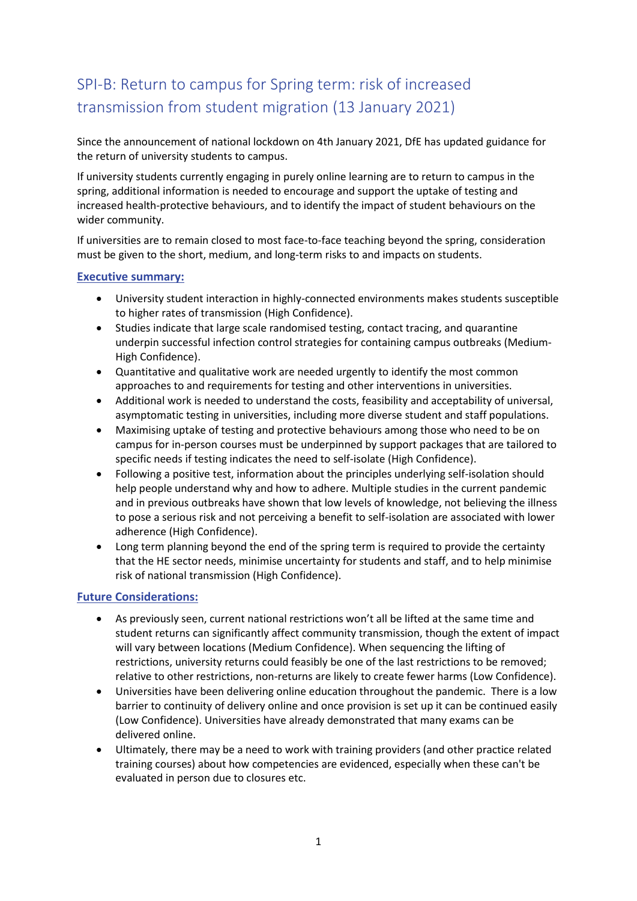# SPI-B: Return to campus for Spring term: risk of increased transmission from student migration (13 January 2021)

Since the announcement of national lockdown on 4th January 2021, DfE has updated guidance for the return of university students to campus.

If university students currently engaging in purely online learning are to return to campus in the spring, additional information is needed to encourage and support the uptake of testing and increased health-protective behaviours, and to identify the impact of student behaviours on the wider community.

If universities are to remain closed to most face-to-face teaching beyond the spring, consideration must be given to the short, medium, and long-term risks to and impacts on students.

#### **Executive summary:**

- University student interaction in highly-connected environments makes students susceptible to higher rates of transmission (High Confidence).
- Studies indicate that large scale randomised testing, contact tracing, and quarantine underpin successful infection control strategies for containing campus outbreaks (Medium-High Confidence).
- Quantitative and qualitative work are needed urgently to identify the most common approaches to and requirements for testing and other interventions in universities.
- Additional work is needed to understand the costs, feasibility and acceptability of universal, asymptomatic testing in universities, including more diverse student and staff populations.
- Maximising uptake of testing and protective behaviours among those who need to be on campus for in-person courses must be underpinned by support packages that are tailored to specific needs if testing indicates the need to self-isolate (High Confidence).
- Following a positive test, information about the principles underlying self-isolation should help people understand why and how to adhere. Multiple studies in the current pandemic and in previous outbreaks have shown that low levels of knowledge, not believing the illness to pose a serious risk and not perceiving a benefit to self-isolation are associated with lower adherence (High Confidence).
- Long term planning beyond the end of the spring term is required to provide the certainty that the HE sector needs, minimise uncertainty for students and staff, and to help minimise risk of national transmission (High Confidence).

## **Future Considerations:**

- As previously seen, current national restrictions won't all be lifted at the same time and student returns can significantly affect community transmission, though the extent of impact will vary between locations (Medium Confidence). When sequencing the lifting of restrictions, university returns could feasibly be one of the last restrictions to be removed; relative to other restrictions, non-returns are likely to create fewer harms (Low Confidence).
- Universities have been delivering online education throughout the pandemic. There is a low barrier to continuity of delivery online and once provision is set up it can be continued easily (Low Confidence). Universities have already demonstrated that many exams can be delivered online.
- Ultimately, there may be a need to work with training providers (and other practice related training courses) about how competencies are evidenced, especially when these can't be evaluated in person due to closures etc.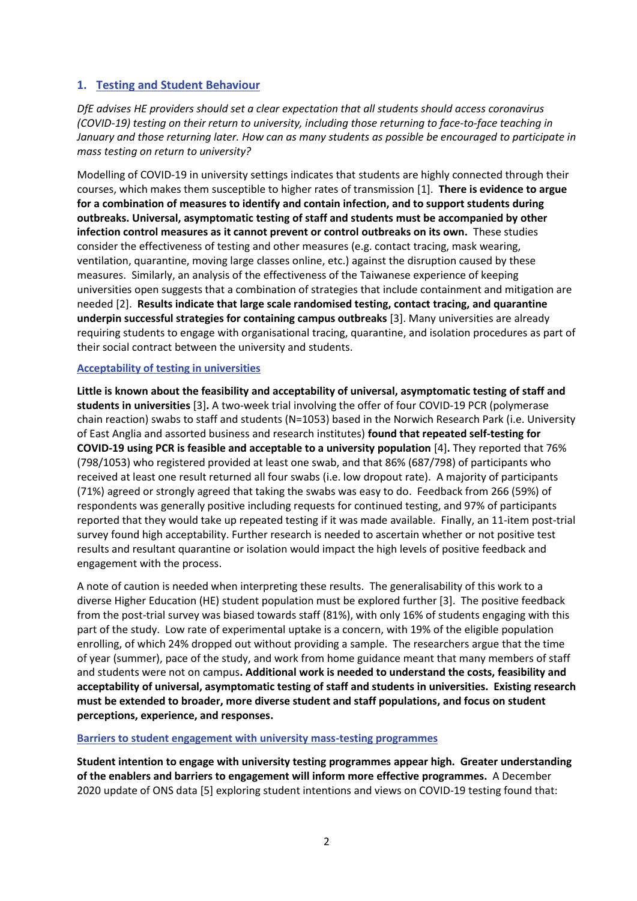## **1. Testing and Student Behaviour**

*DfE advises HE providers should set a clear expectation that all students should access coronavirus (COVID-19) testing on their return to university, including those returning to face-to-face teaching in January and those returning later. How can as many students as possible be encouraged to participate in mass testing on return to university?*

Modelling of COVID-19 in university settings indicates that students are highly connected through their courses, which makes them susceptible to higher rates of transmission [1]. **There is evidence to argue for a combination of measures to identify and contain infection, and to support students during outbreaks. Universal, asymptomatic testing of staff and students must be accompanied by other infection control measures as it cannot prevent or control outbreaks on its own.** These studies consider the effectiveness of testing and other measures (e.g. contact tracing, mask wearing, ventilation, quarantine, moving large classes online, etc.) against the disruption caused by these measures. Similarly, an analysis of the effectiveness of the Taiwanese experience of keeping universities open suggests that a combination of strategies that include containment and mitigation are needed [2]. **Results indicate that large scale randomised testing, contact tracing, and quarantine underpin successful strategies for containing campus outbreaks** [3]. Many universities are already requiring students to engage with organisational tracing, quarantine, and isolation procedures as part of their social contract between the university and students.

#### **Acceptability of testing in universities**

**Little is known about the feasibility and acceptability of universal, asymptomatic testing of staff and students in universities** [3]**.** A two-week trial involving the offer of four COVID-19 PCR (polymerase chain reaction) swabs to staff and students (N=1053) based in the Norwich Research Park (i.e. University of East Anglia and assorted business and research institutes) **found that repeated self-testing for COVID-19 using PCR is feasible and acceptable to a university population** [4]**.** They reported that 76% (798/1053) who registered provided at least one swab, and that 86% (687/798) of participants who received at least one result returned all four swabs (i.e. low dropout rate). A majority of participants (71%) agreed or strongly agreed that taking the swabs was easy to do. Feedback from 266 (59%) of respondents was generally positive including requests for continued testing, and 97% of participants reported that they would take up repeated testing if it was made available. Finally, an 11-item post-trial survey found high acceptability. Further research is needed to ascertain whether or not positive test results and resultant quarantine or isolation would impact the high levels of positive feedback and engagement with the process.

A note of caution is needed when interpreting these results. The generalisability of this work to a diverse Higher Education (HE) student population must be explored further [3]. The positive feedback from the post-trial survey was biased towards staff (81%), with only 16% of students engaging with this part of the study. Low rate of experimental uptake is a concern, with 19% of the eligible population enrolling, of which 24% dropped out without providing a sample. The researchers argue that the time of year (summer), pace of the study, and work from home guidance meant that many members of staff and students were not on campus**. Additional work is needed to understand the costs, feasibility and acceptability of universal, asymptomatic testing of staff and students in universities. Existing research must be extended to broader, more diverse student and staff populations, and focus on student perceptions, experience, and responses.**

#### **Barriers to student engagement with university mass-testing programmes**

**Student intention to engage with university testing programmes appear high. Greater understanding of the enablers and barriers to engagement will inform more effective programmes.** A December 2020 update of ONS data [5] exploring student intentions and views on COVID-19 testing found that: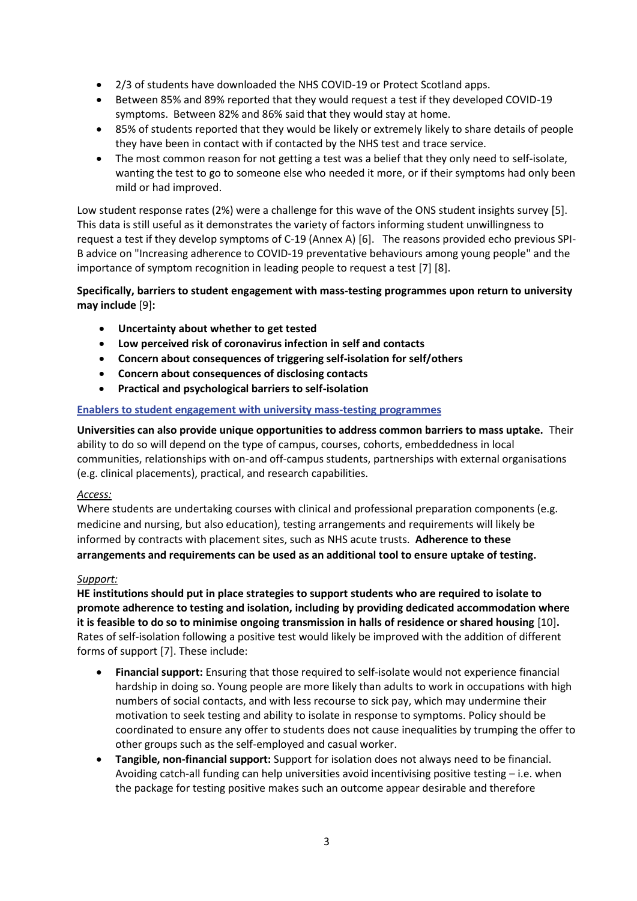- 2/3 of students have downloaded the NHS COVID-19 or Protect Scotland apps.
- Between 85% and 89% reported that they would request a test if they developed COVID-19 symptoms. Between 82% and 86% said that they would stay at home.
- 85% of students reported that they would be likely or extremely likely to share details of people they have been in contact with if contacted by the NHS test and trace service.
- The most common reason for not getting a test was a belief that they only need to self-isolate, wanting the test to go to someone else who needed it more, or if their symptoms had only been mild or had improved.

Low student response rates (2%) were a challenge for this wave of the ONS student insights survey [5]. This data is still useful as it demonstrates the variety of factors informing student unwillingness to request a test if they develop symptoms of C-19 (Annex A) [6]. The reasons provided echo previous SPI-B advice on "Increasing adherence to COVID-19 preventative behaviours among young people" and the importance of symptom recognition in leading people to request a test [7] [8].

## **Specifically, barriers to student engagement with mass-testing programmes upon return to university may include** [9]**:**

- **Uncertainty about whether to get tested**
- **Low perceived risk of coronavirus infection in self and contacts**
- **Concern about consequences of triggering self-isolation for self/others**
- **Concern about consequences of disclosing contacts**
- **Practical and psychological barriers to self-isolation**

## **Enablers to student engagement with university mass-testing programmes**

**Universities can also provide unique opportunities to address common barriers to mass uptake.** Their ability to do so will depend on the type of campus, courses, cohorts, embeddedness in local communities, relationships with on-and off-campus students, partnerships with external organisations (e.g. clinical placements), practical, and research capabilities.

## *Access:*

Where students are undertaking courses with clinical and professional preparation components (e.g. medicine and nursing, but also education), testing arrangements and requirements will likely be informed by contracts with placement sites, such as NHS acute trusts. **Adherence to these arrangements and requirements can be used as an additional tool to ensure uptake of testing.**

## *Support:*

**HE institutions should put in place strategies to support students who are required to isolate to promote adherence to testing and isolation, including by providing dedicated accommodation where it is feasible to do so to minimise ongoing transmission in halls of residence or shared housing** [10]**.** Rates of self-isolation following a positive test would likely be improved with the addition of different forms of support [7]. These include:

- **Financial support:** Ensuring that those required to self-isolate would not experience financial hardship in doing so. Young people are more likely than adults to work in occupations with high numbers of social contacts, and with less recourse to sick pay, which may undermine their motivation to seek testing and ability to isolate in response to symptoms. Policy should be coordinated to ensure any offer to students does not cause inequalities by trumping the offer to other groups such as the self-employed and casual worker.
- **Tangible, non-financial support:** Support for isolation does not always need to be financial. Avoiding catch-all funding can help universities avoid incentivising positive testing – i.e. when the package for testing positive makes such an outcome appear desirable and therefore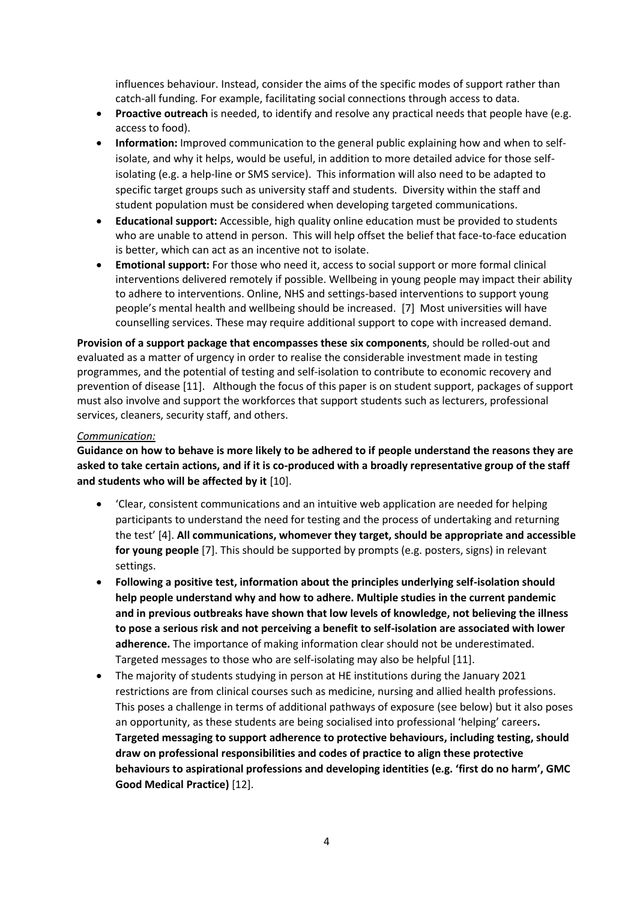influences behaviour. Instead, consider the aims of the specific modes of support rather than catch-all funding. For example, facilitating social connections through access to data.

- **Proactive outreach** is needed, to identify and resolve any practical needs that people have (e.g. access to food).
- **Information:** Improved communication to the general public explaining how and when to selfisolate, and why it helps, would be useful, in addition to more detailed advice for those selfisolating (e.g. a help-line or SMS service). This information will also need to be adapted to specific target groups such as university staff and students. Diversity within the staff and student population must be considered when developing targeted communications.
- **Educational support:** Accessible, high quality online education must be provided to students who are unable to attend in person. This will help offset the belief that face-to-face education is better, which can act as an incentive not to isolate.
- **Emotional support:** For those who need it, access to social support or more formal clinical interventions delivered remotely if possible. Wellbeing in young people may impact their ability to adhere to interventions. Online, NHS and settings-based interventions to support young people's mental health and wellbeing should be increased. [7] Most universities will have counselling services. These may require additional support to cope with increased demand.

**Provision of a support package that encompasses these six components**, should be rolled-out and evaluated as a matter of urgency in order to realise the considerable investment made in testing programmes, and the potential of testing and self-isolation to contribute to economic recovery and prevention of disease [11]. Although the focus of this paper is on student support, packages of support must also involve and support the workforces that support students such as lecturers, professional services, cleaners, security staff, and others.

#### *Communication:*

**Guidance on how to behave is more likely to be adhered to if people understand the reasons they are asked to take certain actions, and if it is co-produced with a broadly representative group of the staff and students who will be affected by it** [10].

- 'Clear, consistent communications and an intuitive web application are needed for helping participants to understand the need for testing and the process of undertaking and returning the test' [4]. **All communications, whomever they target, should be appropriate and accessible for young people** [7]. This should be supported by prompts (e.g. posters, signs) in relevant settings.
- **Following a positive test, information about the principles underlying self-isolation should help people understand why and how to adhere. Multiple studies in the current pandemic and in previous outbreaks have shown that low levels of knowledge, not believing the illness to pose a serious risk and not perceiving a benefit to self-isolation are associated with lower adherence.** The importance of making information clear should not be underestimated. Targeted messages to those who are self-isolating may also be helpful [11].
- The majority of students studying in person at HE institutions during the January 2021 restrictions are from clinical courses such as medicine, nursing and allied health professions. This poses a challenge in terms of additional pathways of exposure (see below) but it also poses an opportunity, as these students are being socialised into professional 'helping' careers**. Targeted messaging to support adherence to protective behaviours, including testing, should draw on professional responsibilities and codes of practice to align these protective behaviours to aspirational professions and developing identities (e.g. 'first do no harm', GMC Good Medical Practice)** [12].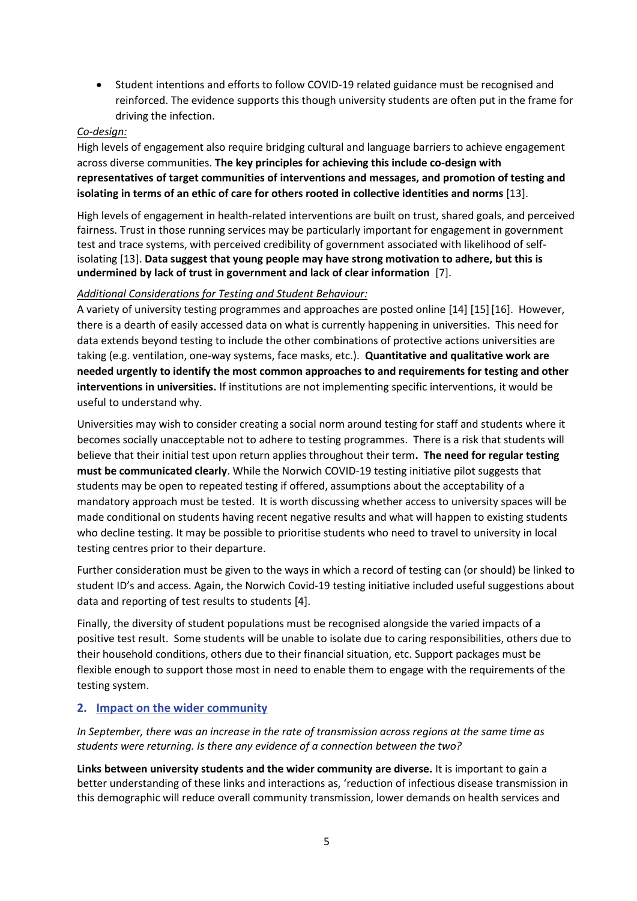• Student intentions and efforts to follow COVID-19 related guidance must be recognised and reinforced. The evidence supports this though university students are often put in the frame for driving the infection.

#### *Co-design:*

High levels of engagement also require bridging cultural and language barriers to achieve engagement across diverse communities. **The key principles for achieving this include co-design with representatives of target communities of interventions and messages, and promotion of testing and isolating in terms of an ethic of care for others rooted in collective identities and norms** [13].

High levels of engagement in health-related interventions are built on trust, shared goals, and perceived fairness. Trust in those running services may be particularly important for engagement in government test and trace systems, with perceived credibility of government associated with likelihood of selfisolating [13]. **Data suggest that young people may have strong motivation to adhere, but this is undermined by lack of trust in government and lack of clear information** [7].

#### *Additional Considerations for Testing and Student Behaviour:*

A variety of university testing programmes and approaches are posted online [14] [15][16]. However, there is a dearth of easily accessed data on what is currently happening in universities. This need for data extends beyond testing to include the other combinations of protective actions universities are taking (e.g. ventilation, one-way systems, face masks, etc.). **Quantitative and qualitative work are needed urgently to identify the most common approaches to and requirements for testing and other interventions in universities.** If institutions are not implementing specific interventions, it would be useful to understand why.

Universities may wish to consider creating a social norm around testing for staff and students where it becomes socially unacceptable not to adhere to testing programmes. There is a risk that students will believe that their initial test upon return applies throughout their term**. The need for regular testing must be communicated clearly**. While the Norwich COVID-19 testing initiative pilot suggests that students may be open to repeated testing if offered, assumptions about the acceptability of a mandatory approach must be tested. It is worth discussing whether access to university spaces will be made conditional on students having recent negative results and what will happen to existing students who decline testing. It may be possible to prioritise students who need to travel to university in local testing centres prior to their departure.

Further consideration must be given to the ways in which a record of testing can (or should) be linked to student ID's and access. Again, the Norwich Covid-19 testing initiative included useful suggestions about data and reporting of test results to students [4].

Finally, the diversity of student populations must be recognised alongside the varied impacts of a positive test result. Some students will be unable to isolate due to caring responsibilities, others due to their household conditions, others due to their financial situation, etc. Support packages must be flexible enough to support those most in need to enable them to engage with the requirements of the testing system.

## **2. Impact on the wider community**

*In September, there was an increase in the rate of transmission across regions at the same time as students were returning. Is there any evidence of a connection between the two?* 

**Links between university students and the wider community are diverse.** It is important to gain a better understanding of these links and interactions as, 'reduction of infectious disease transmission in this demographic will reduce overall community transmission, lower demands on health services and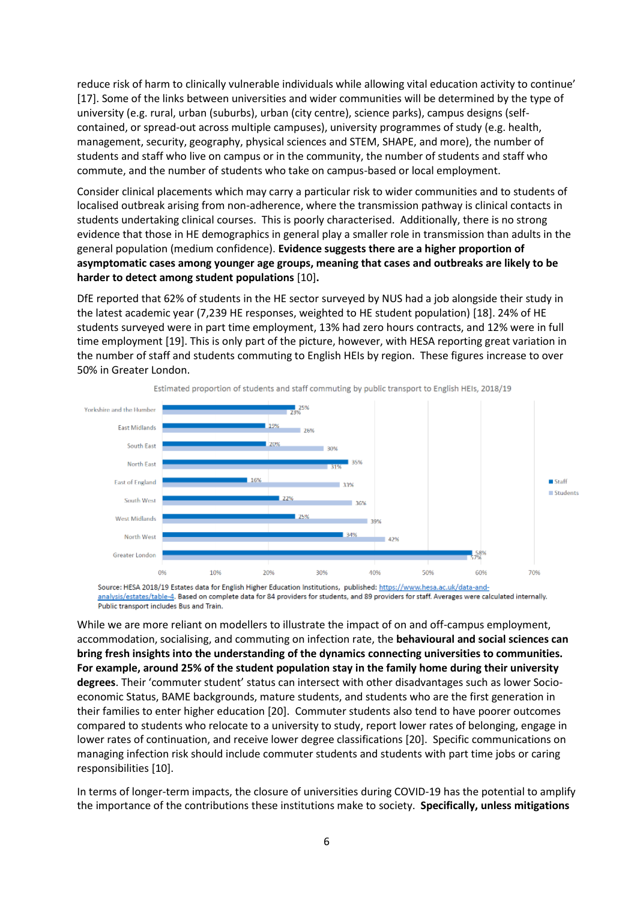reduce risk of harm to clinically vulnerable individuals while allowing vital education activity to continue' [17]. Some of the links between universities and wider communities will be determined by the type of university (e.g. rural, urban (suburbs), urban (city centre), science parks), campus designs (selfcontained, or spread-out across multiple campuses), university programmes of study (e.g. health, management, security, geography, physical sciences and STEM, SHAPE, and more), the number of students and staff who live on campus or in the community, the number of students and staff who commute, and the number of students who take on campus-based or local employment.

Consider clinical placements which may carry a particular risk to wider communities and to students of localised outbreak arising from non-adherence, where the transmission pathway is clinical contacts in students undertaking clinical courses. This is poorly characterised. Additionally, there is no strong evidence that those in HE demographics in general play a smaller role in transmission than adults in the general population (medium confidence). **Evidence suggests there are a higher proportion of asymptomatic cases among younger age groups, meaning that cases and outbreaks are likely to be harder to detect among student populations** [10]**.**

DfE reported that 62% of students in the HE sector surveyed by NUS had a job alongside their study in the latest academic year (7,239 HE responses, weighted to HE student population) [18]. 24% of HE students surveyed were in part time employment, 13% had zero hours contracts, and 12% were in full time employment [19]. This is only part of the picture, however, with HESA reporting great variation in the number of staff and students commuting to English HEIs by region. These figures increase to over 50% in Greater London.





Source: HESA 2018/19 Estates data for English Higher Education Institutions, published: https://www.hesa.ac.uk/data-andanalysis/estates/table-4. Based on complete data for 84 providers for students, and 89 providers for staff. Averages were calculated internally. Public transport includes Bus and Train.

While we are more reliant on modellers to illustrate the impact of on and off-campus employment, accommodation, socialising, and commuting on infection rate, the **behavioural and social sciences can bring fresh insights into the understanding of the dynamics connecting universities to communities. For example, around 25% of the student population stay in the family home during their university degrees**. Their 'commuter student' status can intersect with other disadvantages such as lower Socioeconomic Status, BAME backgrounds, mature students, and students who are the first generation in their families to enter higher education [20]. Commuter students also tend to have poorer outcomes compared to students who relocate to a university to study, report lower rates of belonging, engage in lower rates of continuation, and receive lower degree classifications [20]. Specific communications on managing infection risk should include commuter students and students with part time jobs or caring responsibilities [10].

In terms of longer-term impacts, the closure of universities during COVID-19 has the potential to amplify the importance of the contributions these institutions make to society. **Specifically, unless mitigations**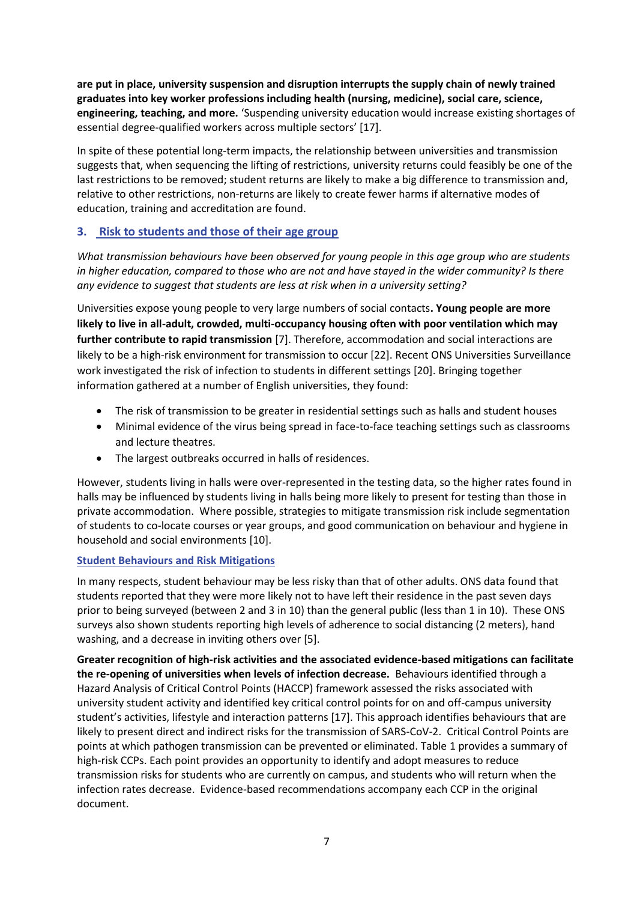**are put in place, university suspension and disruption interrupts the supply chain of newly trained graduates into key worker professions including health (nursing, medicine), social care, science, engineering, teaching, and more.** 'Suspending university education would increase existing shortages of essential degree-qualified workers across multiple sectors' [17].

In spite of these potential long-term impacts, the relationship between universities and transmission suggests that, when sequencing the lifting of restrictions, university returns could feasibly be one of the last restrictions to be removed; student returns are likely to make a big difference to transmission and, relative to other restrictions, non-returns are likely to create fewer harms if alternative modes of education, training and accreditation are found.

# **3. Risk to students and those of their age group**

*What transmission behaviours have been observed for young people in this age group who are students in higher education, compared to those who are not and have stayed in the wider community? Is there any evidence to suggest that students are less at risk when in a university setting?*

Universities expose young people to very large numbers of social contacts**. Young people are more likely to live in all-adult, crowded, multi-occupancy housing often with poor ventilation which may further contribute to rapid transmission** [7]. Therefore, accommodation and social interactions are likely to be a high-risk environment for transmission to occur [22]. Recent ONS Universities Surveillance work investigated the risk of infection to students in different settings [20]. Bringing together information gathered at a number of English universities, they found:

- The risk of transmission to be greater in residential settings such as halls and student houses
- Minimal evidence of the virus being spread in face-to-face teaching settings such as classrooms and lecture theatres.
- The largest outbreaks occurred in halls of residences.

However, students living in halls were over-represented in the testing data, so the higher rates found in halls may be influenced by students living in halls being more likely to present for testing than those in private accommodation. Where possible, strategies to mitigate transmission risk include segmentation of students to co-locate courses or year groups, and good communication on behaviour and hygiene in household and social environments [10].

## **Student Behaviours and Risk Mitigations**

In many respects, student behaviour may be less risky than that of other adults. ONS data found that students reported that they were more likely not to have left their residence in the past seven days prior to being surveyed (between 2 and 3 in 10) than the general public (less than 1 in 10). These ONS surveys also shown students reporting high levels of adherence to social distancing (2 meters), hand washing, and a decrease in inviting others over [5].

**Greater recognition of high-risk activities and the associated evidence-based mitigations can facilitate the re-opening of universities when levels of infection decrease.** Behaviours identified through a Hazard Analysis of Critical Control Points (HACCP) framework assessed the risks associated with university student activity and identified key critical control points for on and off-campus university student's activities, lifestyle and interaction patterns [17]. This approach identifies behaviours that are likely to present direct and indirect risks for the transmission of SARS-CoV-2. Critical Control Points are points at which pathogen transmission can be prevented or eliminated. Table 1 provides a summary of high-risk CCPs. Each point provides an opportunity to identify and adopt measures to reduce transmission risks for students who are currently on campus, and students who will return when the infection rates decrease. Evidence-based recommendations accompany each CCP in the original document.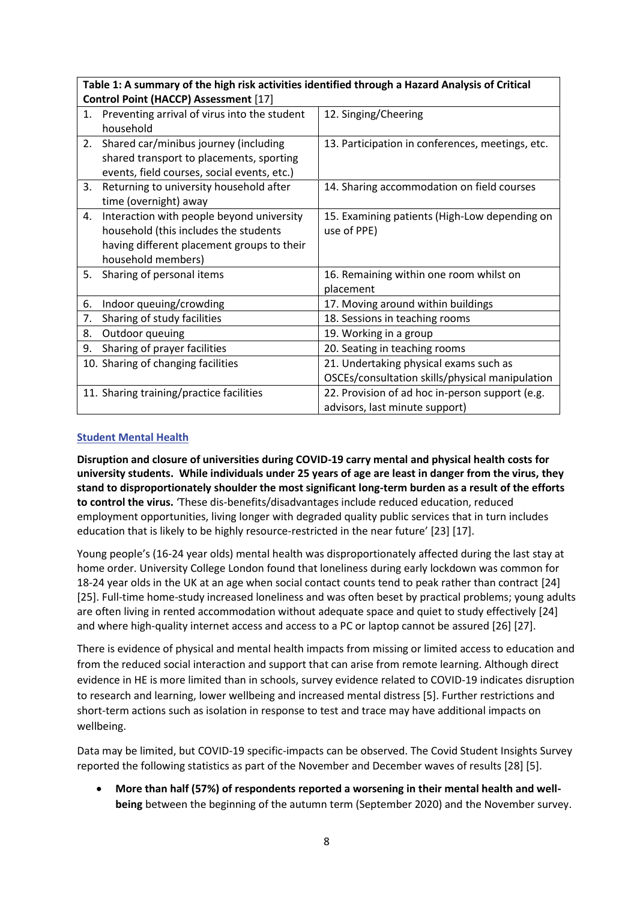| Table 1: A summary of the high risk activities identified through a Hazard Analysis of Critical |                                              |                                                  |  |
|-------------------------------------------------------------------------------------------------|----------------------------------------------|--------------------------------------------------|--|
| Control Point (HACCP) Assessment [17]                                                           |                                              |                                                  |  |
| 1.                                                                                              | Preventing arrival of virus into the student | 12. Singing/Cheering                             |  |
|                                                                                                 | household                                    |                                                  |  |
| 2.                                                                                              | Shared car/minibus journey (including        | 13. Participation in conferences, meetings, etc. |  |
|                                                                                                 | shared transport to placements, sporting     |                                                  |  |
|                                                                                                 | events, field courses, social events, etc.)  |                                                  |  |
| 3.                                                                                              | Returning to university household after      | 14. Sharing accommodation on field courses       |  |
|                                                                                                 | time (overnight) away                        |                                                  |  |
| 4.                                                                                              | Interaction with people beyond university    | 15. Examining patients (High-Low depending on    |  |
|                                                                                                 | household (this includes the students        | use of PPE)                                      |  |
|                                                                                                 | having different placement groups to their   |                                                  |  |
|                                                                                                 | household members)                           |                                                  |  |
| 5.                                                                                              | Sharing of personal items                    | 16. Remaining within one room whilst on          |  |
|                                                                                                 |                                              | placement                                        |  |
| 6.                                                                                              | Indoor queuing/crowding                      | 17. Moving around within buildings               |  |
| 7.                                                                                              | Sharing of study facilities                  | 18. Sessions in teaching rooms                   |  |
| 8.                                                                                              | Outdoor queuing                              | 19. Working in a group                           |  |
| 9.                                                                                              | Sharing of prayer facilities                 | 20. Seating in teaching rooms                    |  |
|                                                                                                 | 10. Sharing of changing facilities           | 21. Undertaking physical exams such as           |  |
|                                                                                                 |                                              | OSCEs/consultation skills/physical manipulation  |  |
|                                                                                                 | 11. Sharing training/practice facilities     | 22. Provision of ad hoc in-person support (e.g.  |  |
|                                                                                                 |                                              | advisors, last minute support)                   |  |

#### **Student Mental Health**

**Disruption and closure of universities during COVID-19 carry mental and physical health costs for university students. While individuals under 25 years of age are least in danger from the virus, they stand to disproportionately shoulder the most significant long-term burden as a result of the efforts to control the virus.** 'These dis-benefits/disadvantages include reduced education, reduced employment opportunities, living longer with degraded quality public services that in turn includes education that is likely to be highly resource-restricted in the near future' [23] [17].

Young people's (16-24 year olds) mental health was disproportionately affected during the last stay at home order. University College London found that loneliness during early lockdown was common for 18-24 year olds in the UK at an age when social contact counts tend to peak rather than contract [24] [25]. Full-time home-study increased loneliness and was often beset by practical problems; young adults are often living in rented accommodation without adequate space and quiet to study effectively [24] and where high-quality internet access and access to a PC or laptop cannot be assured [26] [27].

There is evidence of physical and mental health impacts from missing or limited access to education and from the reduced social interaction and support that can arise from remote learning. Although direct evidence in HE is more limited than in schools, survey evidence related to COVID-19 indicates disruption to research and learning, lower wellbeing and increased mental distress [5]. Further restrictions and short-term actions such as isolation in response to test and trace may have additional impacts on wellbeing.

Data may be limited, but COVID-19 specific-impacts can be observed. The Covid Student Insights Survey reported the following statistics as part of the November and December waves of results [28] [5].

• **More than half (57%) of respondents reported a worsening in their mental health and wellbeing** between the beginning of the autumn term (September 2020) and the November survey.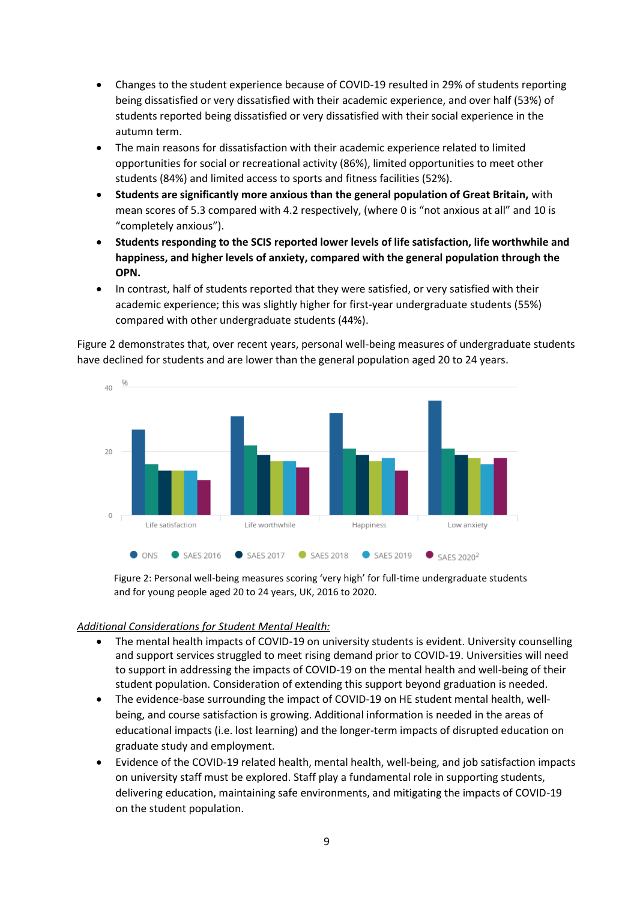- Changes to the student experience because of COVID-19 resulted in 29% of students reporting being dissatisfied or very dissatisfied with their academic experience, and over half (53%) of students reported being dissatisfied or very dissatisfied with their social experience in the autumn term.
- The main reasons for dissatisfaction with their academic experience related to limited opportunities for social or recreational activity (86%), limited opportunities to meet other students (84%) and limited access to sports and fitness facilities (52%).
- **Students are significantly more anxious than the general population of Great Britain,** with mean scores of 5.3 compared with 4.2 respectively, (where 0 is "not anxious at all" and 10 is "completely anxious").
- **Students responding to the SCIS reported lower levels of life satisfaction, life worthwhile and happiness, and higher levels of anxiety, compared with the general population through the OPN.**
- In contrast, half of students reported that they were satisfied, or very satisfied with their academic experience; this was slightly higher for first-year undergraduate students (55%) compared with other undergraduate students (44%).

Figure 2 demonstrates that, over recent years, personal well-being measures of undergraduate students have declined for students and are lower than the general population aged 20 to 24 years.



Figure 2: Personal well-being measures scoring 'very high' for full-time undergraduate students and for young people aged 20 to 24 years, UK, 2016 to 2020.

#### *Additional Considerations for Student Mental Health:*

- The mental health impacts of COVID-19 on university students is evident. University counselling and support services struggled to meet rising demand prior to COVID-19. Universities will need to support in addressing the impacts of COVID-19 on the mental health and well-being of their student population. Consideration of extending this support beyond graduation is needed.
- The evidence-base surrounding the impact of COVID-19 on HE student mental health, wellbeing, and course satisfaction is growing. Additional information is needed in the areas of educational impacts (i.e. lost learning) and the longer-term impacts of disrupted education on graduate study and employment.
- Evidence of the COVID-19 related health, mental health, well-being, and job satisfaction impacts on university staff must be explored. Staff play a fundamental role in supporting students, delivering education, maintaining safe environments, and mitigating the impacts of COVID-19 on the student population.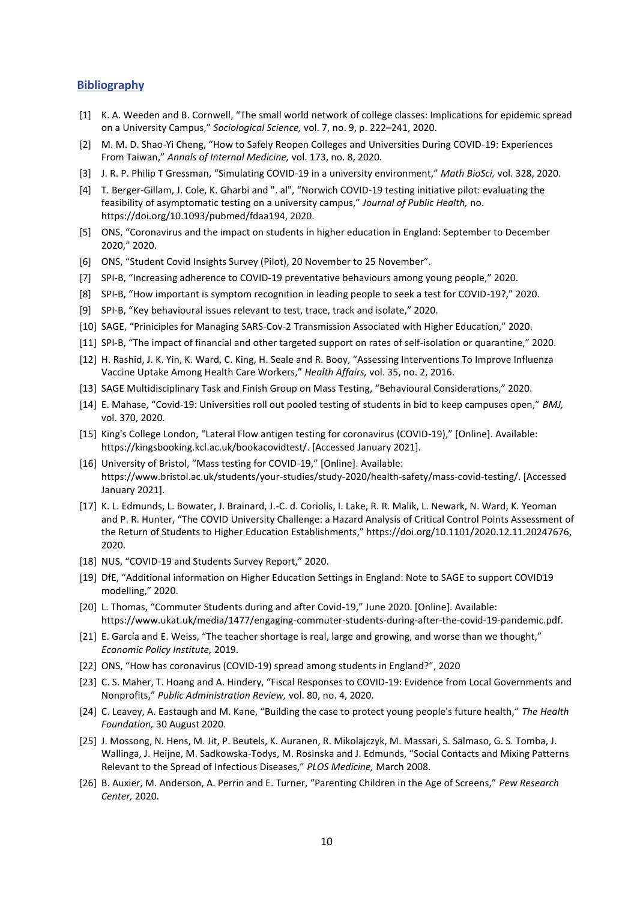#### **Bibliography**

- [1] K. A. Weeden and B. Cornwell, "The small world network of college classes: Implications for epidemic spread on a University Campus," *Sociological Science,* vol. 7, no. 9, p. 222–241, 2020.
- [2] M. M. D. Shao-Yi Cheng, "How to Safely Reopen Colleges and Universities During COVID-19: Experiences From Taiwan," *Annals of Internal Medicine,* vol. 173, no. 8, 2020.
- [3] J. R. P. Philip T Gressman, "Simulating COVID-19 in a university environment," *Math BioSci,* vol. 328, 2020.
- [4] T. Berger-Gillam, J. Cole, K. Gharbi and ". al", "Norwich COVID-19 testing initiative pilot: evaluating the feasibility of asymptomatic testing on a university campus," *Journal of Public Health,* no. https://doi.org/10.1093/pubmed/fdaa194, 2020.
- [5] ONS, "Coronavirus and the impact on students in higher education in England: September to December 2020," 2020.
- [6] ONS, "Student Covid Insights Survey (Pilot), 20 November to 25 November".
- [7] SPI-B, "Increasing adherence to COVID-19 preventative behaviours among young people," 2020.
- [8] SPI-B, "How important is symptom recognition in leading people to seek a test for COVID-19?," 2020.
- [9] SPI-B, "Key behavioural issues relevant to test, trace, track and isolate," 2020.
- [10] SAGE, "Priniciples for Managing SARS-Cov-2 Transmission Associated with Higher Education," 2020.
- [11] SPI-B, "The impact of financial and other targeted support on rates of self-isolation or quarantine," 2020.
- [12] H. Rashid, J. K. Yin, K. Ward, C. King, H. Seale and R. Booy, "Assessing Interventions To Improve Influenza Vaccine Uptake Among Health Care Workers," *Health Affairs,* vol. 35, no. 2, 2016.
- [13] SAGE Multidisciplinary Task and Finish Group on Mass Testing, "Behavioural Considerations," 2020.
- [14] E. Mahase, "Covid-19: Universities roll out pooled testing of students in bid to keep campuses open," *BMJ,*  vol. 370, 2020.
- [15] King's College London, "Lateral Flow antigen testing for coronavirus (COVID-19)," [Online]. Available: https://kingsbooking.kcl.ac.uk/bookacovidtest/. [Accessed January 2021].
- [16] University of Bristol, "Mass testing for COVID-19," [Online]. Available: https://www.bristol.ac.uk/students/your-studies/study-2020/health-safety/mass-covid-testing/. [Accessed January 2021].
- [17] K. L. Edmunds, L. Bowater, J. Brainard, J.-C. d. Coriolis, I. Lake, R. R. Malik, L. Newark, N. Ward, K. Yeoman and P. R. Hunter, "The COVID University Challenge: a Hazard Analysis of Critical Control Points Assessment of the Return of Students to Higher Education Establishments," https://doi.org/10.1101/2020.12.11.20247676, 2020.
- [18] NUS, "COVID-19 and Students Survey Report," 2020.
- [19] DfE, "Additional information on Higher Education Settings in England: Note to SAGE to support COVID19 modelling," 2020.
- [20] L. Thomas, "Commuter Students during and after Covid-19," June 2020. [Online]. Available: https://www.ukat.uk/media/1477/engaging-commuter-students-during-after-the-covid-19-pandemic.pdf.
- [21] E. García and E. Weiss, "The teacher shortage is real, large and growing, and worse than we thought," *Economic Policy Institute,* 2019.
- [22] ONS, "How has coronavirus (COVID-19) spread among students in England?", 2020
- [23] C. S. Maher, T. Hoang and A. Hindery, "Fiscal Responses to COVID‐19: Evidence from Local Governments and Nonprofits," *Public Administration Review,* vol. 80, no. 4, 2020.
- [24] C. Leavey, A. Eastaugh and M. Kane, "Building the case to protect young people's future health," *The Health Foundation,* 30 August 2020.
- [25] J. Mossong, N. Hens, M. Jit, P. Beutels, K. Auranen, R. Mikolajczyk, M. Massari, S. Salmaso, G. S. Tomba, J. Wallinga, J. Heijne, M. Sadkowska-Todys, M. Rosinska and J. Edmunds, "Social Contacts and Mixing Patterns Relevant to the Spread of Infectious Diseases," *PLOS Medicine,* March 2008.
- [26] B. Auxier, M. Anderson, A. Perrin and E. Turner, "Parenting Children in the Age of Screens," *Pew Research Center,* 2020.